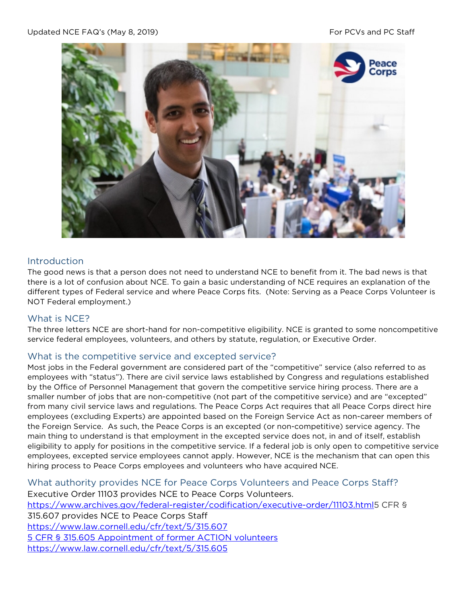

# Introduction

The good news is that a person does not need to understand NCE to benefit from it. The bad news is that there is a lot of confusion about NCE. To gain a basic understanding of NCE requires an explanation of the different types of Federal service and where Peace Corps fits. (Note: Serving as a Peace Corps Volunteer is NOT Federal employment.)

### What is NCE?

The three letters NCE are short-hand for non-competitive eligibility. NCE is granted to some noncompetitive service federal employees, volunteers, and others by statute, regulation, or Executive Order.

### What is the competitive service and excepted service?

Most jobs in the Federal government are considered part of the "competitive" service (also referred to as employees with "status"). There are civil service laws established by Congress and regulations established by the Office of Personnel Management that govern the competitive service hiring process. There are a smaller number of jobs that are non-competitive (not part of the competitive service) and are "excepted" from many civil service laws and regulations. The Peace Corps Act requires that all Peace Corps direct hire employees (excluding Experts) are appointed based on the Foreign Service Act as non-career members of the Foreign Service. As such, the Peace Corps is an excepted (or non-competitive) service agency. The main thing to understand is that employment in the excepted service does not, in and of itself, establish eligibility to apply for positions in the competitive service. If a federal job is only open to competitive service employees, excepted service employees cannot apply. However, NCE is the mechanism that can open this hiring process to Peace Corps employees and volunteers who have acquired NCE.

What authority provides NCE for Peace Corps Volunteers and Peace Corps Staff? Executive Order 11103 provides NCE to Peace Corps Volunteers. [https://www.archives.gov/federal-register/codification/executive-order/11103.html5](https://www.archives.gov/federal-register/codification/executive-order/11103.html) CFR § 315.607 provides NCE to Peace Corps Staff <https://www.law.cornell.edu/cfr/text/5/315.607> 5 CFR § 315.605 Appointment of former ACTION volunteers https://www.law.cornell.edu/cfr/text/5/315.605